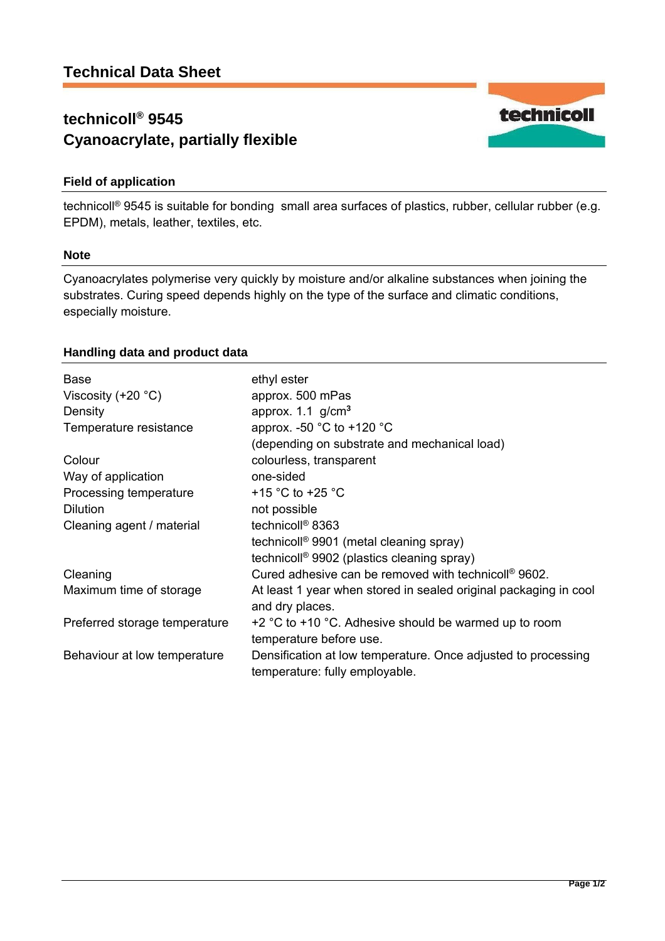# **technicoll® 9545 Cyanoacrylate, partially flexible**

# **Field of application**

technicoll® 9545 is suitable for bonding small area surfaces of plastics, rubber, cellular rubber (e.g. EPDM), metals, leather, textiles, etc.

### **Note**

Cyanoacrylates polymerise very quickly by moisture and/or alkaline substances when joining the substrates. Curing speed depends highly on the type of the surface and climatic conditions, especially moisture.

## **Handling data and product data**

| <b>Base</b><br>Viscosity $(+20 °C)$<br>Density | ethyl ester<br>approx. 500 mPas<br>approx. $1.1$ g/cm <sup>3</sup>                              |
|------------------------------------------------|-------------------------------------------------------------------------------------------------|
| Temperature resistance                         | approx. -50 $^{\circ}$ C to +120 $^{\circ}$ C                                                   |
|                                                | (depending on substrate and mechanical load)                                                    |
| Colour                                         | colourless, transparent                                                                         |
| Way of application                             | one-sided                                                                                       |
| Processing temperature                         | +15 $\degree$ C to +25 $\degree$ C                                                              |
| <b>Dilution</b>                                | not possible                                                                                    |
| Cleaning agent / material                      | technicoll <sup>®</sup> 8363                                                                    |
|                                                | technicoll <sup>®</sup> 9901 (metal cleaning spray)                                             |
|                                                | technicoll <sup>®</sup> 9902 (plastics cleaning spray)                                          |
| Cleaning                                       | Cured adhesive can be removed with technicoll <sup>®</sup> 9602.                                |
| Maximum time of storage                        | At least 1 year when stored in sealed original packaging in cool<br>and dry places.             |
| Preferred storage temperature                  | $+2$ °C to $+10$ °C. Adhesive should be warmed up to room<br>temperature before use.            |
| Behaviour at low temperature                   | Densification at low temperature. Once adjusted to processing<br>temperature: fully employable. |

technicoll